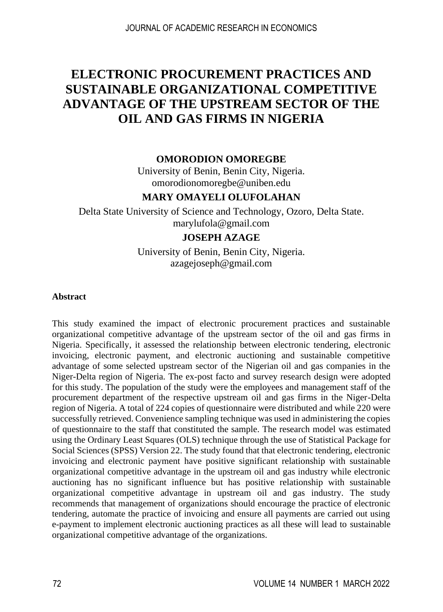# **ELECTRONIC PROCUREMENT PRACTICES AND SUSTAINABLE ORGANIZATIONAL COMPETITIVE ADVANTAGE OF THE UPSTREAM SECTOR OF THE OIL AND GAS FIRMS IN NIGERIA**

#### **OMORODION OMOREGBE**

University of Benin, Benin City, Nigeria. omorodionomoregbe@uniben.edu

#### **MARY OMAYELI OLUFOLAHAN**

Delta State University of Science and Technology, Ozoro, Delta State. marylufola@gmail.com

#### **JOSEPH AZAGE**

University of Benin, Benin City, Nigeria. azagejoseph@gmail.com

#### **Abstract**

This study examined the impact of electronic procurement practices and sustainable organizational competitive advantage of the upstream sector of the oil and gas firms in Nigeria. Specifically, it assessed the relationship between electronic tendering, electronic invoicing, electronic payment, and electronic auctioning and sustainable competitive advantage of some selected upstream sector of the Nigerian oil and gas companies in the Niger-Delta region of Nigeria. The ex-post facto and survey research design were adopted for this study. The population of the study were the employees and management staff of the procurement department of the respective upstream oil and gas firms in the Niger-Delta region of Nigeria. A total of 224 copies of questionnaire were distributed and while 220 were successfully retrieved. Convenience sampling technique was used in administering the copies of questionnaire to the staff that constituted the sample. The research model was estimated using the Ordinary Least Squares (OLS) technique through the use of Statistical Package for Social Sciences (SPSS) Version 22. The study found that that electronic tendering, electronic invoicing and electronic payment have positive significant relationship with sustainable organizational competitive advantage in the upstream oil and gas industry while electronic auctioning has no significant influence but has positive relationship with sustainable organizational competitive advantage in upstream oil and gas industry. The study recommends that management of organizations should encourage the practice of electronic tendering, automate the practice of invoicing and ensure all payments are carried out using e-payment to implement electronic auctioning practices as all these will lead to sustainable organizational competitive advantage of the organizations.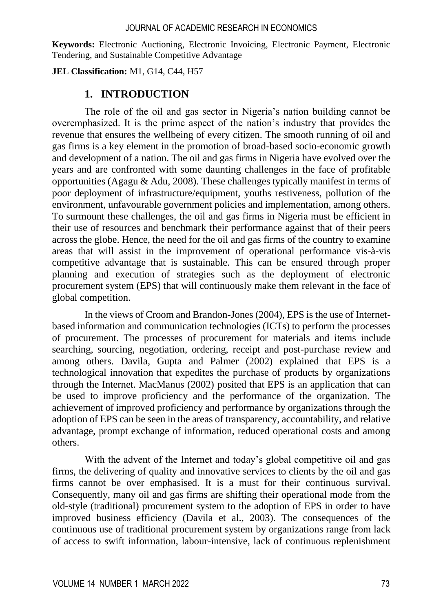**Keywords:** Electronic Auctioning, Electronic Invoicing, Electronic Payment, Electronic Tendering, and Sustainable Competitive Advantage

**JEL Classification:** M1, G14, C44, H57

## **1. INTRODUCTION**

The role of the oil and gas sector in Nigeria's nation building cannot be overemphasized. It is the prime aspect of the nation's industry that provides the revenue that ensures the wellbeing of every citizen. The smooth running of oil and gas firms is a key element in the promotion of broad-based socio-economic growth and development of a nation. The oil and gas firms in Nigeria have evolved over the years and are confronted with some daunting challenges in the face of profitable opportunities (Agagu  $\&$  Adu, 2008). These challenges typically manifest in terms of poor deployment of infrastructure/equipment, youths restiveness, pollution of the environment, unfavourable government policies and implementation, among others. To surmount these challenges, the oil and gas firms in Nigeria must be efficient in their use of resources and benchmark their performance against that of their peers across the globe. Hence, the need for the oil and gas firms of the country to examine areas that will assist in the improvement of operational performance vis-à-vis competitive advantage that is sustainable. This can be ensured through proper planning and execution of strategies such as the deployment of electronic procurement system (EPS) that will continuously make them relevant in the face of global competition.

In the views of Croom and Brandon-Jones (2004), EPS is the use of Internetbased information and communication technologies (ICTs) to perform the processes of procurement. The processes of procurement for materials and items include searching, sourcing, negotiation, ordering, receipt and post-purchase review and among others. Davila, Gupta and Palmer (2002) explained that EPS is a technological innovation that expedites the purchase of products by organizations through the Internet. MacManus (2002) posited that EPS is an application that can be used to improve proficiency and the performance of the organization. The achievement of improved proficiency and performance by organizations through the adoption of EPS can be seen in the areas of transparency, accountability, and relative advantage, prompt exchange of information, reduced operational costs and among others.

With the advent of the Internet and today's global competitive oil and gas firms, the delivering of quality and innovative services to clients by the oil and gas firms cannot be over emphasised. It is a must for their continuous survival. Consequently, many oil and gas firms are shifting their operational mode from the old-style (traditional) procurement system to the adoption of EPS in order to have improved business efficiency (Davila et al., 2003). The consequences of the continuous use of traditional procurement system by organizations range from lack of access to swift information, labour-intensive, lack of continuous replenishment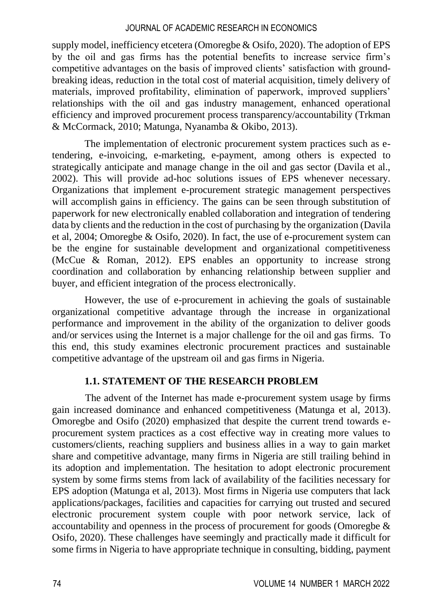supply model, inefficiency etcetera (Omoregbe & Osifo, 2020). The adoption of EPS by the oil and gas firms has the potential benefits to increase service firm's competitive advantages on the basis of improved clients' satisfaction with groundbreaking ideas, reduction in the total cost of material acquisition, timely delivery of materials, improved profitability, elimination of paperwork, improved suppliers' relationships with the oil and gas industry management, enhanced operational efficiency and improved procurement process transparency/accountability (Trkman & McCormack, 2010; Matunga, Nyanamba & Okibo, 2013).

The implementation of electronic procurement system practices such as etendering, e-invoicing, e-marketing, e-payment, among others is expected to strategically anticipate and manage change in the oil and gas sector (Davila et al., 2002). This will provide ad-hoc solutions issues of EPS whenever necessary. Organizations that implement e-procurement strategic management perspectives will accomplish gains in efficiency. The gains can be seen through substitution of paperwork for new electronically enabled collaboration and integration of tendering data by clients and the reduction in the cost of purchasing by the organization (Davila et al, 2004; Omoregbe & Osifo, 2020). In fact, the use of e-procurement system can be the engine for sustainable development and organizational competitiveness (McCue & Roman, 2012). EPS enables an opportunity to increase strong coordination and collaboration by enhancing relationship between supplier and buyer, and efficient integration of the process electronically.

However, the use of e-procurement in achieving the goals of sustainable organizational competitive advantage through the increase in organizational performance and improvement in the ability of the organization to deliver goods and/or services using the Internet is a major challenge for the oil and gas firms. To this end, this study examines electronic procurement practices and sustainable competitive advantage of the upstream oil and gas firms in Nigeria.

## **1.1. STATEMENT OF THE RESEARCH PROBLEM**

The advent of the Internet has made e-procurement system usage by firms gain increased dominance and enhanced competitiveness (Matunga et al, 2013). Omoregbe and Osifo (2020) emphasized that despite the current trend towards eprocurement system practices as a cost effective way in creating more values to customers/clients, reaching suppliers and business allies in a way to gain market share and competitive advantage, many firms in Nigeria are still trailing behind in its adoption and implementation. The hesitation to adopt electronic procurement system by some firms stems from lack of availability of the facilities necessary for EPS adoption (Matunga et al, 2013). Most firms in Nigeria use computers that lack applications/packages, facilities and capacities for carrying out trusted and secured electronic procurement system couple with poor network service, lack of accountability and openness in the process of procurement for goods (Omoregbe & Osifo, 2020). These challenges have seemingly and practically made it difficult for some firms in Nigeria to have appropriate technique in consulting, bidding, payment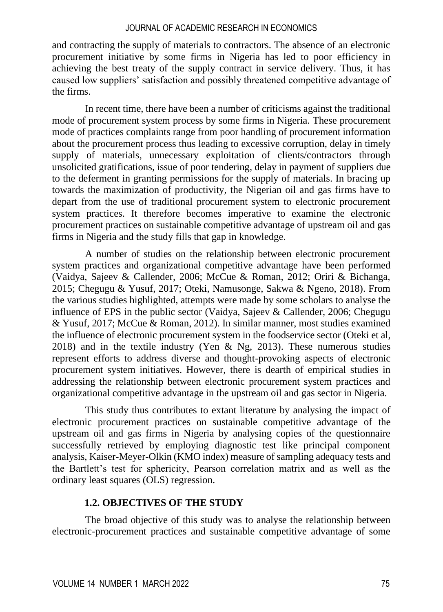and contracting the supply of materials to contractors. The absence of an electronic procurement initiative by some firms in Nigeria has led to poor efficiency in achieving the best treaty of the supply contract in service delivery. Thus, it has caused low suppliers' satisfaction and possibly threatened competitive advantage of the firms.

In recent time, there have been a number of criticisms against the traditional mode of procurement system process by some firms in Nigeria. These procurement mode of practices complaints range from poor handling of procurement information about the procurement process thus leading to excessive corruption, delay in timely supply of materials, unnecessary exploitation of clients/contractors through unsolicited gratifications, issue of poor tendering, delay in payment of suppliers due to the deferment in granting permissions for the supply of materials. In bracing up towards the maximization of productivity, the Nigerian oil and gas firms have to depart from the use of traditional procurement system to electronic procurement system practices. It therefore becomes imperative to examine the electronic procurement practices on sustainable competitive advantage of upstream oil and gas firms in Nigeria and the study fills that gap in knowledge.

A number of studies on the relationship between electronic procurement system practices and organizational competitive advantage have been performed (Vaidya, Sajeev & Callender, 2006; McCue & Roman, 2012; Oriri & Bichanga, 2015; Chegugu & Yusuf, 2017; Oteki, Namusonge, Sakwa & Ngeno, 2018). From the various studies highlighted, attempts were made by some scholars to analyse the influence of EPS in the public sector (Vaidya, Sajeev & Callender, 2006; Chegugu & Yusuf, 2017; McCue & Roman, 2012). In similar manner, most studies examined the influence of electronic procurement system in the foodservice sector (Oteki et al, 2018) and in the textile industry (Yen & Ng, 2013). These numerous studies represent efforts to address diverse and thought-provoking aspects of electronic procurement system initiatives. However, there is dearth of empirical studies in addressing the relationship between electronic procurement system practices and organizational competitive advantage in the upstream oil and gas sector in Nigeria.

This study thus contributes to extant literature by analysing the impact of electronic procurement practices on sustainable competitive advantage of the upstream oil and gas firms in Nigeria by analysing copies of the questionnaire successfully retrieved by employing diagnostic test like principal component analysis, Kaiser-Meyer-Olkin (KMO index) measure of sampling adequacy tests and the Bartlett's test for sphericity, Pearson correlation matrix and as well as the ordinary least squares (OLS) regression.

#### **1.2. OBJECTIVES OF THE STUDY**

The broad objective of this study was to analyse the relationship between electronic-procurement practices and sustainable competitive advantage of some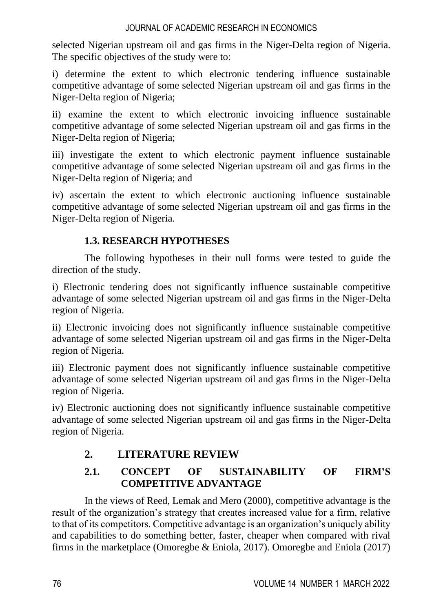selected Nigerian upstream oil and gas firms in the Niger-Delta region of Nigeria. The specific objectives of the study were to:

i) determine the extent to which electronic tendering influence sustainable competitive advantage of some selected Nigerian upstream oil and gas firms in the Niger-Delta region of Nigeria;

ii) examine the extent to which electronic invoicing influence sustainable competitive advantage of some selected Nigerian upstream oil and gas firms in the Niger-Delta region of Nigeria;

iii) investigate the extent to which electronic payment influence sustainable competitive advantage of some selected Nigerian upstream oil and gas firms in the Niger-Delta region of Nigeria; and

iv) ascertain the extent to which electronic auctioning influence sustainable competitive advantage of some selected Nigerian upstream oil and gas firms in the Niger-Delta region of Nigeria.

## **1.3. RESEARCH HYPOTHESES**

The following hypotheses in their null forms were tested to guide the direction of the study.

i) Electronic tendering does not significantly influence sustainable competitive advantage of some selected Nigerian upstream oil and gas firms in the Niger-Delta region of Nigeria.

ii) Electronic invoicing does not significantly influence sustainable competitive advantage of some selected Nigerian upstream oil and gas firms in the Niger-Delta region of Nigeria.

iii) Electronic payment does not significantly influence sustainable competitive advantage of some selected Nigerian upstream oil and gas firms in the Niger-Delta region of Nigeria.

iv) Electronic auctioning does not significantly influence sustainable competitive advantage of some selected Nigerian upstream oil and gas firms in the Niger-Delta region of Nigeria.

## **2. LITERATURE REVIEW**

## **2.1. CONCEPT OF SUSTAINABILITY OF FIRM'S COMPETITIVE ADVANTAGE**

In the views of Reed, Lemak and Mero (2000), competitive advantage is the result of the organization's strategy that creates increased value for a firm, relative to that of its competitors. Competitive advantage is an organization's uniquely ability and capabilities to do something better, faster, cheaper when compared with rival firms in the marketplace (Omoregbe & Eniola, 2017). Omoregbe and Eniola (2017)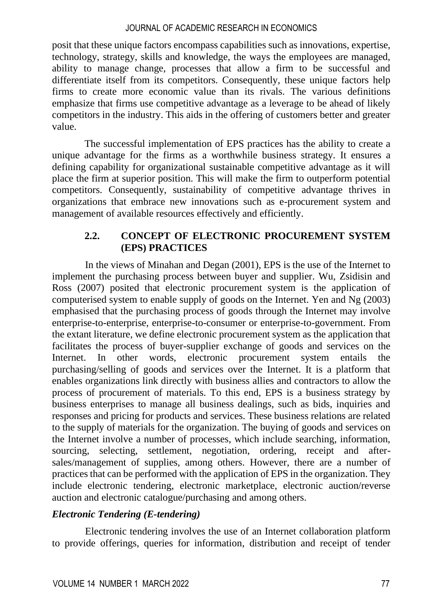posit that these unique factors encompass capabilities such as innovations, expertise, technology, strategy, skills and knowledge, the ways the employees are managed, ability to manage change, processes that allow a firm to be successful and differentiate itself from its competitors. Consequently, these unique factors help firms to create more economic value than its rivals. The various definitions emphasize that firms use competitive advantage as a leverage to be ahead of likely competitors in the industry. This aids in the offering of customers better and greater value.

The successful implementation of EPS practices has the ability to create a unique advantage for the firms as a worthwhile business strategy. It ensures a defining capability for organizational sustainable competitive advantage as it will place the firm at superior position. This will make the firm to outperform potential competitors. Consequently, sustainability of competitive advantage thrives in organizations that embrace new innovations such as e-procurement system and management of available resources effectively and efficiently.

## **2.2. CONCEPT OF ELECTRONIC PROCUREMENT SYSTEM (EPS) PRACTICES**

In the views of Minahan and Degan (2001), EPS is the use of the Internet to implement the purchasing process between buyer and supplier. Wu, Zsidisin and Ross (2007) posited that electronic procurement system is the application of computerised system to enable supply of goods on the Internet. Yen and Ng (2003) emphasised that the purchasing process of goods through the Internet may involve enterprise-to-enterprise, enterprise-to-consumer or enterprise-to-government. From the extant literature, we define electronic procurement system as the application that facilitates the process of buyer-supplier exchange of goods and services on the Internet. In other words, electronic procurement system entails the purchasing/selling of goods and services over the Internet. It is a platform that enables organizations link directly with business allies and contractors to allow the process of procurement of materials. To this end, EPS is a business strategy by business enterprises to manage all business dealings, such as bids, inquiries and responses and pricing for products and services. These business relations are related to the supply of materials for the organization. The buying of goods and services on the Internet involve a number of processes, which include searching, information, sourcing, selecting, settlement, negotiation, ordering, receipt and aftersales/management of supplies, among others. However, there are a number of practices that can be performed with the application of EPS in the organization. They include electronic tendering, electronic marketplace, electronic auction/reverse auction and electronic catalogue/purchasing and among others.

## *Electronic Tendering (E-tendering)*

Electronic tendering involves the use of an Internet collaboration platform to provide offerings, queries for information, distribution and receipt of tender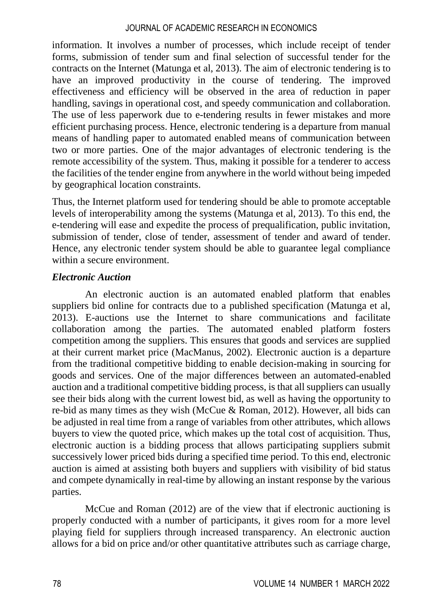information. It involves a number of processes, which include receipt of tender forms, submission of tender sum and final selection of successful tender for the contracts on the Internet (Matunga et al, 2013). The aim of electronic tendering is to have an improved productivity in the course of tendering. The improved effectiveness and efficiency will be observed in the area of reduction in paper handling, savings in operational cost, and speedy communication and collaboration. The use of less paperwork due to e-tendering results in fewer mistakes and more efficient purchasing process. Hence, electronic tendering is a departure from manual means of handling paper to automated enabled means of communication between two or more parties. One of the major advantages of electronic tendering is the remote accessibility of the system. Thus, making it possible for a tenderer to access the facilities of the tender engine from anywhere in the world without being impeded by geographical location constraints.

Thus, the Internet platform used for tendering should be able to promote acceptable levels of interoperability among the systems (Matunga et al, 2013). To this end, the e-tendering will ease and expedite the process of prequalification, public invitation, submission of tender, close of tender, assessment of tender and award of tender. Hence, any electronic tender system should be able to guarantee legal compliance within a secure environment.

### *Electronic Auction*

An electronic auction is an automated enabled platform that enables suppliers bid online for contracts due to a published specification (Matunga et al, 2013). E-auctions use the Internet to share communications and facilitate collaboration among the parties. The automated enabled platform fosters competition among the suppliers. This ensures that goods and services are supplied at their current market price (MacManus, 2002). Electronic auction is a departure from the traditional competitive bidding to enable decision-making in sourcing for goods and services. One of the major differences between an automated-enabled auction and a traditional competitive bidding process, is that all suppliers can usually see their bids along with the current lowest bid, as well as having the opportunity to re-bid as many times as they wish (McCue & Roman, 2012). However, all bids can be adjusted in real time from a range of variables from other attributes, which allows buyers to view the quoted price, which makes up the total cost of acquisition. Thus, electronic auction is a bidding process that allows participating suppliers submit successively lower priced bids during a specified time period. To this end, electronic auction is aimed at assisting both buyers and suppliers with visibility of bid status and compete dynamically in real-time by allowing an instant response by the various parties.

McCue and Roman (2012) are of the view that if electronic auctioning is properly conducted with a number of participants, it gives room for a more level playing field for suppliers through increased transparency. An electronic auction allows for a bid on price and/or other quantitative attributes such as carriage charge,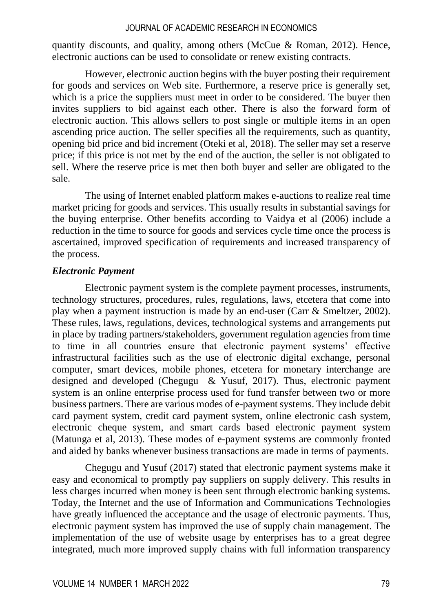quantity discounts, and quality, among others (McCue  $\&$  Roman, 2012). Hence, electronic auctions can be used to consolidate or renew existing contracts.

However, electronic auction begins with the buyer posting their requirement for goods and services on Web site. Furthermore, a reserve price is generally set, which is a price the suppliers must meet in order to be considered. The buyer then invites suppliers to bid against each other. There is also the forward form of electronic auction. This allows sellers to post single or multiple items in an open ascending price auction. The seller specifies all the requirements, such as quantity, opening bid price and bid increment (Oteki et al, 2018). The seller may set a reserve price; if this price is not met by the end of the auction, the seller is not obligated to sell. Where the reserve price is met then both buyer and seller are obligated to the sale.

The using of Internet enabled platform makes e-auctions to realize real time market pricing for goods and services. This usually results in substantial savings for the buying enterprise. Other benefits according to Vaidya et al (2006) include a reduction in the time to source for goods and services cycle time once the process is ascertained, improved specification of requirements and increased transparency of the process.

#### *Electronic Payment*

Electronic payment system is the complete payment processes, instruments, technology structures, procedures, rules, regulations, laws, etcetera that come into play when a payment instruction is made by an end-user (Carr & Smeltzer, 2002). These rules, laws, regulations, devices, technological systems and arrangements put in place by trading partners/stakeholders, government regulation agencies from time to time in all countries ensure that electronic payment systems' effective infrastructural facilities such as the use of electronic digital exchange, personal computer, smart devices, mobile phones, etcetera for monetary interchange are designed and developed (Chegugu & Yusuf, 2017). Thus, electronic payment system is an online enterprise process used for fund transfer between two or more business partners. There are various modes of e-payment systems. They include debit card payment system, credit card payment system, online electronic cash system, electronic cheque system, and smart cards based electronic payment system (Matunga et al, 2013). These modes of e-payment systems are commonly fronted and aided by banks whenever business transactions are made in terms of payments.

Chegugu and Yusuf (2017) stated that electronic payment systems make it easy and economical to promptly pay suppliers on supply delivery. This results in less charges incurred when money is been sent through electronic banking systems. Today, the Internet and the use of Information and Communications Technologies have greatly influenced the acceptance and the usage of electronic payments. Thus, electronic payment system has improved the use of supply chain management. The implementation of the use of website usage by enterprises has to a great degree integrated, much more improved supply chains with full information transparency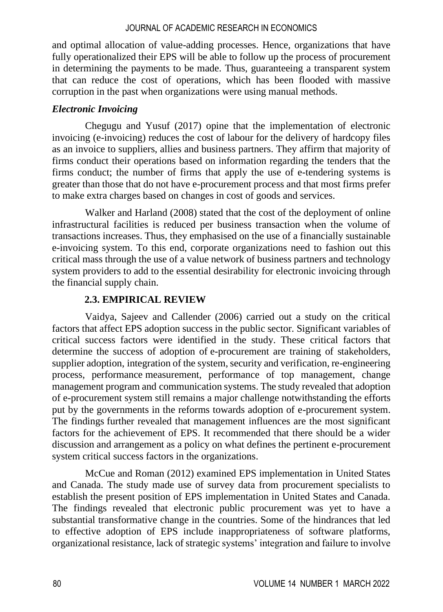and optimal allocation of value-adding processes. Hence, organizations that have fully operationalized their EPS will be able to follow up the process of procurement in determining the payments to be made. Thus, guaranteeing a transparent system that can reduce the cost of operations, which has been flooded with massive corruption in the past when organizations were using manual methods.

## *Electronic Invoicing*

Chegugu and Yusuf (2017) opine that the implementation of electronic invoicing (e-invoicing) reduces the cost of labour for the delivery of hardcopy files as an invoice to suppliers, allies and business partners. They affirm that majority of firms conduct their operations based on information regarding the tenders that the firms conduct; the number of firms that apply the use of e-tendering systems is greater than those that do not have e-procurement process and that most firms prefer to make extra charges based on changes in cost of goods and services.

Walker and Harland (2008) stated that the cost of the deployment of online infrastructural facilities is reduced per business transaction when the volume of transactions increases. Thus, they emphasised on the use of a financially sustainable e-invoicing system. To this end, corporate organizations need to fashion out this critical mass through the use of a value network of business partners and technology system providers to add to the essential desirability for electronic invoicing through the financial supply chain.

## **2.3. EMPIRICAL REVIEW**

Vaidya, Sajeev and Callender (2006) carried out a study on the critical factors that affect EPS adoption success in the public sector. Significant variables of critical success factors were identified in the study. These critical factors that determine the success of adoption of e-procurement are training of stakeholders, supplier adoption, integration of the system, security and verification, re-engineering process, performance measurement, performance of top management, change management program and communication systems. The study revealed that adoption of e-procurement system still remains a major challenge notwithstanding the efforts put by the governments in the reforms towards adoption of e-procurement system. The findings further revealed that management influences are the most significant factors for the achievement of EPS. It recommended that there should be a wider discussion and arrangement as a policy on what defines the pertinent e-procurement system critical success factors in the organizations.

McCue and Roman (2012) examined EPS implementation in United States and Canada. The study made use of survey data from procurement specialists to establish the present position of EPS implementation in United States and Canada. The findings revealed that electronic public procurement was yet to have a substantial transformative change in the countries. Some of the hindrances that led to effective adoption of EPS include inappropriateness of software platforms, organizational resistance, lack of strategic systems' integration and failure to involve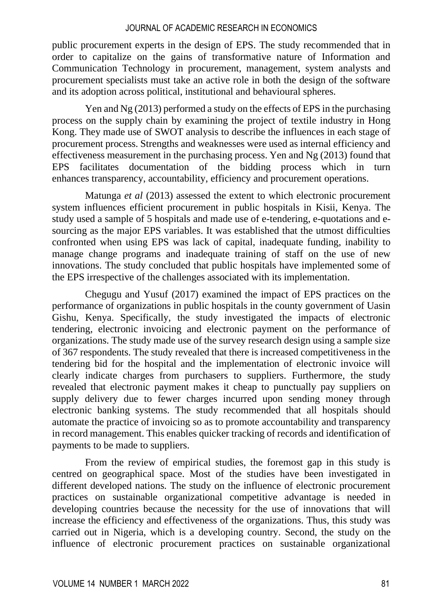public procurement experts in the design of EPS. The study recommended that in order to capitalize on the gains of transformative nature of Information and Communication Technology in procurement, management, system analysts and procurement specialists must take an active role in both the design of the software and its adoption across political, institutional and behavioural spheres.

Yen and Ng (2013) performed a study on the effects of EPS in the purchasing process on the supply chain by examining the project of textile industry in Hong Kong. They made use of SWOT analysis to describe the influences in each stage of procurement process. Strengths and weaknesses were used as internal efficiency and effectiveness measurement in the purchasing process. Yen and Ng (2013) found that EPS facilitates documentation of the bidding process which in turn enhances transparency, accountability, efficiency and procurement operations.

Matunga *et al* (2013) assessed the extent to which electronic procurement system influences efficient procurement in public hospitals in Kisii, Kenya. The study used a sample of 5 hospitals and made use of e-tendering, e-quotations and esourcing as the major EPS variables. It was established that the utmost difficulties confronted when using EPS was lack of capital, inadequate funding, inability to manage change programs and inadequate training of staff on the use of new innovations. The study concluded that public hospitals have implemented some of the EPS irrespective of the challenges associated with its implementation.

Chegugu and Yusuf (2017) examined the impact of EPS practices on the performance of organizations in public hospitals in the county government of Uasin Gishu, Kenya. Specifically, the study investigated the impacts of electronic tendering, electronic invoicing and electronic payment on the performance of organizations. The study made use of the survey research design using a sample size of 367 respondents. The study revealed that there is increased competitiveness in the tendering bid for the hospital and the implementation of electronic invoice will clearly indicate charges from purchasers to suppliers. Furthermore, the study revealed that electronic payment makes it cheap to punctually pay suppliers on supply delivery due to fewer charges incurred upon sending money through electronic banking systems. The study recommended that all hospitals should automate the practice of invoicing so as to promote accountability and transparency in record management. This enables quicker tracking of records and identification of payments to be made to suppliers.

From the review of empirical studies, the foremost gap in this study is centred on geographical space. Most of the studies have been investigated in different developed nations. The study on the influence of electronic procurement practices on sustainable organizational competitive advantage is needed in developing countries because the necessity for the use of innovations that will increase the efficiency and effectiveness of the organizations. Thus, this study was carried out in Nigeria, which is a developing country. Second, the study on the influence of electronic procurement practices on sustainable organizational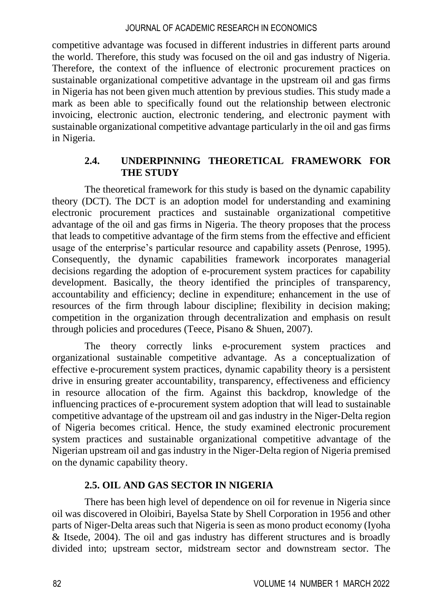competitive advantage was focused in different industries in different parts around the world. Therefore, this study was focused on the oil and gas industry of Nigeria. Therefore, the context of the influence of electronic procurement practices on sustainable organizational competitive advantage in the upstream oil and gas firms in Nigeria has not been given much attention by previous studies. This study made a mark as been able to specifically found out the relationship between electronic invoicing, electronic auction, electronic tendering, and electronic payment with sustainable organizational competitive advantage particularly in the oil and gas firms in Nigeria.

### **2.4. UNDERPINNING THEORETICAL FRAMEWORK FOR THE STUDY**

The theoretical framework for this study is based on the dynamic capability theory (DCT). The DCT is an adoption model for understanding and examining electronic procurement practices and sustainable organizational competitive advantage of the oil and gas firms in Nigeria. The theory proposes that the process that leads to competitive advantage of the firm stems from the effective and efficient usage of the enterprise's particular resource and capability assets (Penrose, 1995). Consequently, the dynamic capabilities framework incorporates managerial decisions regarding the adoption of e-procurement system practices for capability development. Basically, the theory identified the principles of transparency, accountability and efficiency; decline in expenditure; enhancement in the use of resources of the firm through labour discipline; flexibility in decision making; competition in the organization through decentralization and emphasis on result through policies and procedures (Teece, Pisano & Shuen, 2007).

The theory correctly links e-procurement system practices and organizational sustainable competitive advantage. As a conceptualization of effective e-procurement system practices, dynamic capability theory is a persistent drive in ensuring greater accountability, transparency, effectiveness and efficiency in resource allocation of the firm. Against this backdrop, knowledge of the influencing practices of e-procurement system adoption that will lead to sustainable competitive advantage of the upstream oil and gas industry in the Niger-Delta region of Nigeria becomes critical. Hence, the study examined electronic procurement system practices and sustainable organizational competitive advantage of the Nigerian upstream oil and gas industry in the Niger-Delta region of Nigeria premised on the dynamic capability theory.

## **2.5. OIL AND GAS SECTOR IN NIGERIA**

There has been high level of dependence on oil for revenue in Nigeria since oil was discovered in Oloibiri, Bayelsa State by Shell Corporation in 1956 and other parts of Niger-Delta areas such that Nigeria is seen as mono product economy (Iyoha & Itsede, 2004). The oil and gas industry has different structures and is broadly divided into; upstream sector, midstream sector and downstream sector. The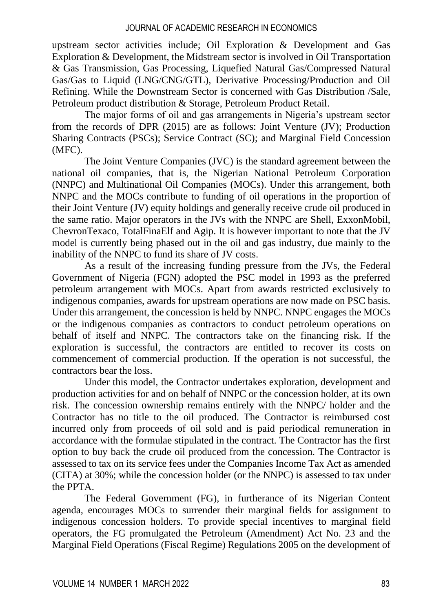upstream sector activities include; Oil Exploration & Development and Gas Exploration & Development, the Midstream sector is involved in Oil Transportation & Gas Transmission, Gas Processing, Liquefied Natural Gas/Compressed Natural Gas/Gas to Liquid (LNG/CNG/GTL), Derivative Processing/Production and Oil Refining. While the Downstream Sector is concerned with Gas Distribution /Sale, Petroleum product distribution & Storage, Petroleum Product Retail.

The major forms of oil and gas arrangements in Nigeria's upstream sector from the records of DPR (2015) are as follows: Joint Venture (JV); Production Sharing Contracts (PSCs); Service Contract (SC); and Marginal Field Concession (MFC).

The Joint Venture Companies (JVC) is the standard agreement between the national oil companies, that is, the Nigerian National Petroleum Corporation (NNPC) and Multinational Oil Companies (MOCs). Under this arrangement, both NNPC and the MOCs contribute to funding of oil operations in the proportion of their Joint Venture (JV) equity holdings and generally receive crude oil produced in the same ratio. Major operators in the JVs with the NNPC are Shell, ExxonMobil, ChevronTexaco, TotalFinaElf and Agip. It is however important to note that the JV model is currently being phased out in the oil and gas industry, due mainly to the inability of the NNPC to fund its share of JV costs.

As a result of the increasing funding pressure from the JVs, the Federal Government of Nigeria (FGN) adopted the PSC model in 1993 as the preferred petroleum arrangement with MOCs. Apart from awards restricted exclusively to indigenous companies, awards for upstream operations are now made on PSC basis. Under this arrangement, the concession is held by NNPC. NNPC engages the MOCs or the indigenous companies as contractors to conduct petroleum operations on behalf of itself and NNPC. The contractors take on the financing risk. If the exploration is successful, the contractors are entitled to recover its costs on commencement of commercial production. If the operation is not successful, the contractors bear the loss.

Under this model, the Contractor undertakes exploration, development and production activities for and on behalf of NNPC or the concession holder, at its own risk. The concession ownership remains entirely with the NNPC/ holder and the Contractor has no title to the oil produced. The Contractor is reimbursed cost incurred only from proceeds of oil sold and is paid periodical remuneration in accordance with the formulae stipulated in the contract. The Contractor has the first option to buy back the crude oil produced from the concession. The Contractor is assessed to tax on its service fees under the Companies Income Tax Act as amended (CITA) at 30%; while the concession holder (or the NNPC) is assessed to tax under the PPTA.

The Federal Government (FG), in furtherance of its Nigerian Content agenda, encourages MOCs to surrender their marginal fields for assignment to indigenous concession holders. To provide special incentives to marginal field operators, the FG promulgated the Petroleum (Amendment) Act No. 23 and the Marginal Field Operations (Fiscal Regime) Regulations 2005 on the development of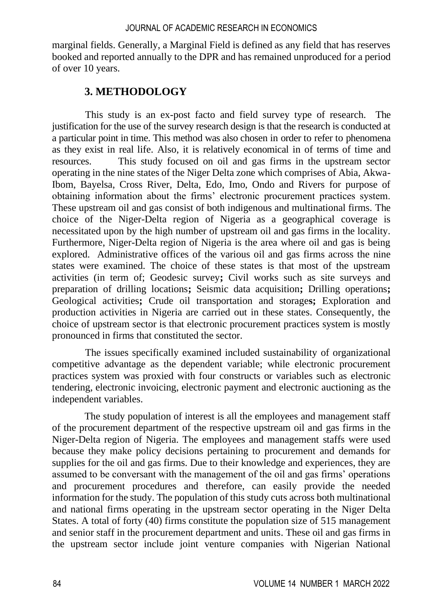marginal fields. Generally, a Marginal Field is defined as any field that has reserves booked and reported annually to the DPR and has remained unproduced for a period of over 10 years.

## **3. METHODOLOGY**

This study is an ex-post facto and field survey type of research. The justification for the use of the survey research design is that the research is conducted at a particular point in time. This method was also chosen in order to refer to phenomena as they exist in real life. Also, it is relatively economical in of terms of time and resources. This study focused on oil and gas firms in the upstream sector operating in the nine states of the Niger Delta zone which comprises of Abia, Akwa-Ibom, Bayelsa, Cross River, Delta, Edo, Imo, Ondo and Rivers for purpose of obtaining information about the firms' electronic procurement practices system. These upstream oil and gas consist of both indigenous and multinational firms. The choice of the Niger-Delta region of Nigeria as a geographical coverage is necessitated upon by the high number of upstream oil and gas firms in the locality. Furthermore, Niger-Delta region of Nigeria is the area where oil and gas is being explored. Administrative offices of the various oil and gas firms across the nine states were examined. The choice of these states is that most of the upstream activities (in term of; Geodesic survey**;** Civil works such as site surveys and preparation of drilling locations**;** Seismic data acquisition**;** Drilling operations**;**  Geological activities**;** Crude oil transportation and storage**s;** Exploration and production activities in Nigeria are carried out in these states. Consequently, the choice of upstream sector is that electronic procurement practices system is mostly pronounced in firms that constituted the sector.

The issues specifically examined included sustainability of organizational competitive advantage as the dependent variable; while electronic procurement practices system was proxied with four constructs or variables such as electronic tendering, electronic invoicing, electronic payment and electronic auctioning as the independent variables.

The study population of interest is all the employees and management staff of the procurement department of the respective upstream oil and gas firms in the Niger-Delta region of Nigeria. The employees and management staffs were used because they make policy decisions pertaining to procurement and demands for supplies for the oil and gas firms. Due to their knowledge and experiences, they are assumed to be conversant with the management of the oil and gas firms' operations and procurement procedures and therefore, can easily provide the needed information for the study. The population of this study cuts across both multinational and national firms operating in the upstream sector operating in the Niger Delta States. A total of forty (40) firms constitute the population size of 515 management and senior staff in the procurement department and units. These oil and gas firms in the upstream sector include joint venture companies with Nigerian National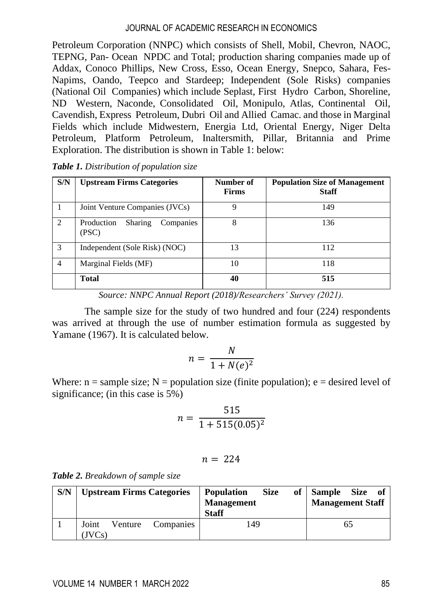Petroleum Corporation (NNPC) which consists of Shell, Mobil, Chevron, NAOC, TEPNG, Pan- Ocean NPDC and Total; production sharing companies made up of Addax, Conoco Phillips, New Cross, Esso, Ocean Energy, Snepco, Sahara, Fes-Napims, Oando, Teepco and Stardeep; Independent (Sole Risks) companies (National Oil Companies) which include Seplast, First Hydro Carbon, Shoreline, ND Western, Naconde, Consolidated Oil, Monipulo, Atlas, Continental Oil, Cavendish, Express Petroleum, Dubri Oil and Allied Camac. and those in Marginal Fields which include Midwestern, Energia Ltd, Oriental Energy, Niger Delta Petroleum, Platform Petroleum, Inaltersmith, Pillar, Britannia and Prime Exploration. The distribution is shown in Table 1: below:

| S/N            | <b>Upstream Firms Categories</b>            | Number of<br><b>Firms</b> | <b>Population Size of Management</b><br><b>Staff</b> |
|----------------|---------------------------------------------|---------------------------|------------------------------------------------------|
|                | Joint Venture Companies (JVCs)              | 9                         | 149                                                  |
| $\mathcal{D}$  | Companies<br>Production<br>Sharing<br>(PSC) | 8                         | 136                                                  |
| 3              | Independent (Sole Risk) (NOC)               | 13                        | 112                                                  |
| $\overline{4}$ | Marginal Fields (MF)                        | 10                        | 118                                                  |
|                | Total                                       | 40                        | 515                                                  |

*Source: NNPC Annual Report (2018)/Researchers' Survey (2021).*

The sample size for the study of two hundred and four (224) respondents was arrived at through the use of number estimation formula as suggested by Yamane (1967). It is calculated below.

$$
n = \frac{N}{1 + N(e)^2}
$$

Where:  $n =$  sample size;  $N =$  population size (finite population);  $e =$  desired level of significance; (in this case is 5%)

$$
n = \frac{515}{1 + 515(0.05)^2}
$$

$$
n = 224
$$

|  |  |  | Table 2. Breakdown of sample size |  |  |  |
|--|--|--|-----------------------------------|--|--|--|
|--|--|--|-----------------------------------|--|--|--|

| S/N | <b>Upstream Firms Categories</b>        | <b>Size</b><br><b>Population</b><br><b>Management</b><br><b>Staff</b> | of Sample Size of<br><b>Management Staff</b> |
|-----|-----------------------------------------|-----------------------------------------------------------------------|----------------------------------------------|
|     | Joint<br>Companies<br>Venture<br>(IVCs) | 149                                                                   |                                              |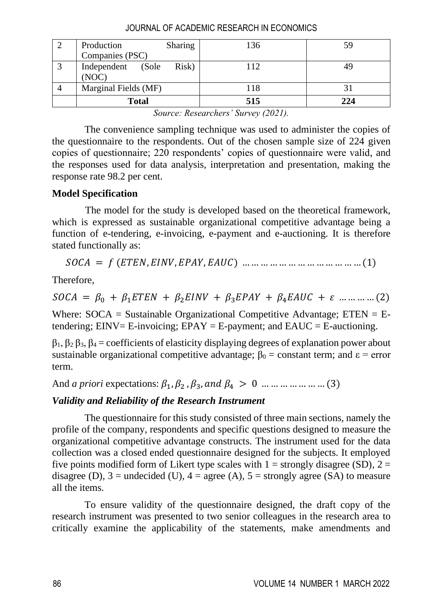|   | Production<br>Sharing<br>Companies (PSC) | 136 | 59  |
|---|------------------------------------------|-----|-----|
| 3 | Independent (Sole<br>Risk)<br>(NOC)      | 112 |     |
|   | Marginal Fields (MF)                     | 118 |     |
|   | <b>Total</b>                             | 515 | 224 |

| JOURNAL OF ACADEMIC RESEARCH IN ECONOMICS |  |
|-------------------------------------------|--|
|-------------------------------------------|--|

*Source: Researchers' Survey (2021).*

The convenience sampling technique was used to administer the copies of the questionnaire to the respondents. Out of the chosen sample size of 224 given copies of questionnaire; 220 respondents' copies of questionnaire were valid, and the responses used for data analysis, interpretation and presentation, making the response rate 98.2 per cent.

### **Model Specification**

The model for the study is developed based on the theoretical framework, which is expressed as sustainable organizational competitive advantage being a function of e-tendering, e-invoicing, e-payment and e-auctioning. It is therefore stated functionally as:

= (, , , ) … … … … … … … … … … … … … (1)

Therefore,

= <sup>0</sup> + 1 + 2 + 3 + 4 + … … … … (2)

Where:  $SOCA =$  Sustainable Organizational Competitive Advantage;  $E TEN = E$ tendering;  $EINV = E-invoicing$ ;  $EPAY = E-payment$ ; and  $EAUC = E-auctioning$ .

 $β_1, β_2 β_3, β_4 =$  coefficients of elasticity displaying degrees of explanation power about sustainable organizational competitive advantage;  $\beta_0$  = constant term; and  $\epsilon$  = error term.

And *a priori* expectations:  $\beta_1$ ,  $\beta_2$ ,  $\beta_3$ , and  $\beta_4 > 0$  ... ... ... ... ... ... (3)

## *Validity and Reliability of the Research Instrument*

The questionnaire for this study consisted of three main sections, namely the profile of the company, respondents and specific questions designed to measure the organizational competitive advantage constructs. The instrument used for the data collection was a closed ended questionnaire designed for the subjects. It employed five points modified form of Likert type scales with  $1 =$  strongly disagree (SD),  $2 =$ disagree (D),  $3 =$  undecided (U),  $4 =$  agree (A),  $5 =$  strongly agree (SA) to measure all the items.

To ensure validity of the questionnaire designed, the draft copy of the research instrument was presented to two senior colleagues in the research area to critically examine the applicability of the statements, make amendments and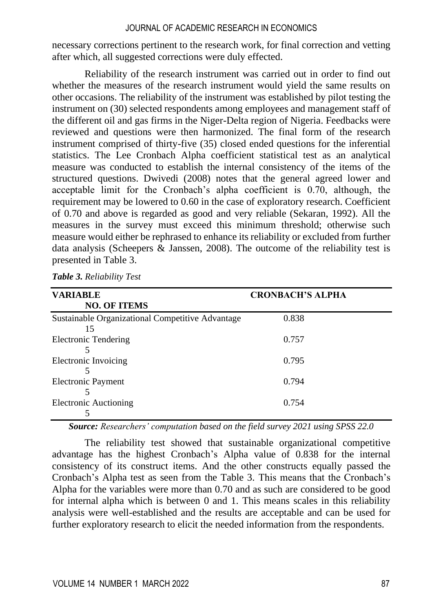necessary corrections pertinent to the research work, for final correction and vetting after which, all suggested corrections were duly effected.

Reliability of the research instrument was carried out in order to find out whether the measures of the research instrument would yield the same results on other occasions. The reliability of the instrument was established by pilot testing the instrument on (30) selected respondents among employees and management staff of the different oil and gas firms in the Niger-Delta region of Nigeria. Feedbacks were reviewed and questions were then harmonized. The final form of the research instrument comprised of thirty-five (35) closed ended questions for the inferential statistics. The Lee Cronbach Alpha coefficient statistical test as an analytical measure was conducted to establish the internal consistency of the items of the structured questions. Dwivedi (2008) notes that the general agreed lower and acceptable limit for the Cronbach's alpha coefficient is 0.70, although, the requirement may be lowered to 0.60 in the case of exploratory research. Coefficient of 0.70 and above is regarded as good and very reliable (Sekaran, 1992). All the measures in the survey must exceed this minimum threshold; otherwise such measure would either be rephrased to enhance its reliability or excluded from further data analysis (Scheepers  $\&$  Janssen, 2008). The outcome of the reliability test is presented in Table 3.

| <b>VARIABLE</b>                                        | <b>CRONBACH'S ALPHA</b> |
|--------------------------------------------------------|-------------------------|
| <b>NO. OF ITEMS</b>                                    |                         |
| Sustainable Organizational Competitive Advantage<br>15 | 0.838                   |
| <b>Electronic Tendering</b>                            | 0.757                   |
| Electronic Invoicing                                   | 0.795                   |
|                                                        |                         |
| Electronic Payment                                     | 0.794                   |
| Electronic Auctioning                                  | 0.754                   |
|                                                        |                         |

*Table 3. Reliability Test*

*Source: Researchers' computation based on the field survey 2021 using SPSS 22.0*

The reliability test showed that sustainable organizational competitive advantage has the highest Cronbach's Alpha value of 0.838 for the internal consistency of its construct items. And the other constructs equally passed the Cronbach's Alpha test as seen from the Table 3. This means that the Cronbach's Alpha for the variables were more than 0.70 and as such are considered to be good for internal alpha which is between 0 and 1. This means scales in this reliability analysis were well-established and the results are acceptable and can be used for further exploratory research to elicit the needed information from the respondents.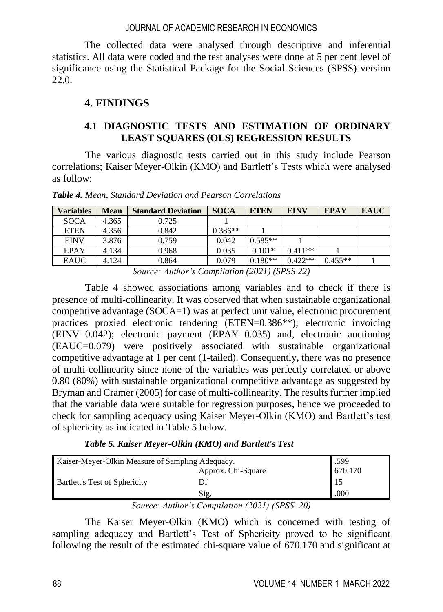The collected data were analysed through descriptive and inferential statistics. All data were coded and the test analyses were done at 5 per cent level of significance using the Statistical Package for the Social Sciences (SPSS) version 22.0.

## **4. FINDINGS**

## **4.1 DIAGNOSTIC TESTS AND ESTIMATION OF ORDINARY LEAST SQUARES (OLS) REGRESSION RESULTS**

The various diagnostic tests carried out in this study include Pearson correlations; Kaiser Meyer-Olkin (KMO) and Bartlett's Tests which were analysed as follow:

| <b>Variables</b> | <b>Mean</b> | <b>Standard Deviation</b> | <b>SOCA</b> | <b>ETEN</b> | <b>EINV</b> | <b>EPAY</b> | <b>EAUC</b> |  |
|------------------|-------------|---------------------------|-------------|-------------|-------------|-------------|-------------|--|
| <b>SOCA</b>      | 4.365       | 0.725                     |             |             |             |             |             |  |
| <b>ETEN</b>      | 4.356       | 0.842                     | $0.386**$   |             |             |             |             |  |
| <b>EINV</b>      | 3.876       | 0.759                     | 0.042       | $0.585**$   |             |             |             |  |
| <b>EPAY</b>      | 4.134       | 0.968                     | 0.035       | $0.101*$    | $0.411**$   |             |             |  |
| <b>EAUC</b>      | 4.124       | 0.864                     | 0.079       | $0.180**$   | $0.422**$   | $0.455**$   |             |  |
|                  |             |                           |             |             |             |             |             |  |

*Table 4. Mean, Standard Deviation and Pearson Correlations*

*Source: Author's Compilation (2021) (SPSS 22)*

Table 4 showed associations among variables and to check if there is presence of multi-collinearity. It was observed that when sustainable organizational competitive advantage (SOCA=1) was at perfect unit value, electronic procurement practices proxied electronic tendering (ETEN=0.386\*\*); electronic invoicing (EINV=0.042); electronic payment (EPAY=0.035) and, electronic auctioning (EAUC=0.079) were positively associated with sustainable organizational competitive advantage at 1 per cent (1-tailed). Consequently, there was no presence of multi-collinearity since none of the variables was perfectly correlated or above 0.80 (80%) with sustainable organizational competitive advantage as suggested by Bryman and Cramer (2005) for case of multi-collinearity. The results further implied that the variable data were suitable for regression purposes, hence we proceeded to check for sampling adequacy using Kaiser Meyer-Olkin (KMO) and Bartlett's test of sphericity as indicated in Table 5 below.

*Table 5. Kaiser Meyer-Olkin (KMO) and Bartlett's Test*

| Kaiser-Meyer-Olkin Measure of Sampling Adequacy. | .599               |         |
|--------------------------------------------------|--------------------|---------|
|                                                  | Approx. Chi-Square | 670.170 |
| <b>Bartlett's Test of Sphericity</b>             |                    | -15     |
|                                                  | Sig.               | .000    |

*Source: Author's Compilation (2021) (SPSS. 20)*

The Kaiser Meyer-Olkin (KMO) which is concerned with testing of sampling adequacy and Bartlett's Test of Sphericity proved to be significant following the result of the estimated chi-square value of 670.170 and significant at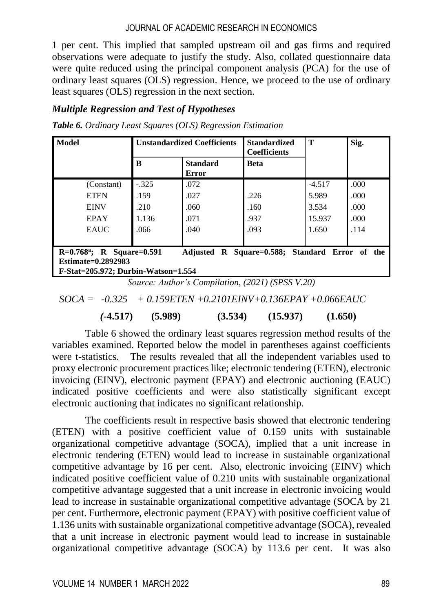1 per cent. This implied that sampled upstream oil and gas firms and required observations were adequate to justify the study. Also, collated questionnaire data were quite reduced using the principal component analysis (PCA) for the use of ordinary least squares (OLS) regression. Hence, we proceed to the use of ordinary least squares (OLS) regression in the next section.

## *Multiple Regression and Test of Hypotheses*

|  |  | Table 6. Ordinary Least Squares (OLS) Regression Estimation |  |  |  |
|--|--|-------------------------------------------------------------|--|--|--|
|--|--|-------------------------------------------------------------|--|--|--|

| Model                                                                                                  |                 | <b>Unstandardized Coefficients</b> | <b>Standardized</b><br><b>Coefficients</b> | T<br>Sig. |       |
|--------------------------------------------------------------------------------------------------------|-----------------|------------------------------------|--------------------------------------------|-----------|-------|
|                                                                                                        | B               | <b>Standard</b><br>Error           | <b>Beta</b>                                |           |       |
| (Constant)                                                                                             | $-.325$         | .072                               |                                            | $-4.517$  | .000  |
| <b>ETEN</b>                                                                                            | .159            | .027                               | .226                                       | 5.989     | .000  |
| <b>EINV</b>                                                                                            | .210            | .060                               | .160                                       | 3.534     | .000  |
| <b>EPAY</b>                                                                                            | 1.136           | .071                               | .937                                       | 15.937    | .000. |
| <b>EAUC</b>                                                                                            | .066            | .040                               | .093                                       | 1.650     | .114  |
| $R=0.768^{\circ}$ ; R Square=0.591<br><b>Estimate=0.2892983</b><br>F-Stat=205.972; Durbin-Watson=1.554 | <b>Adjusted</b> | R Square=0.588; Standard Error of  |                                            | the       |       |

*Source: Author's Compilation, (2021) (SPSS V.20)*

 *SOCA = -0.325 + 0.159ETEN +0.2101EINV+0.136EPAY +0.066EAUC* 

 *(***-4.517) (5.989) (3.534) (15.937) (1.650)** 

Table 6 showed the ordinary least squares regression method results of the variables examined. Reported below the model in parentheses against coefficients were t-statistics. The results revealed that all the independent variables used to proxy electronic procurement practices like; electronic tendering (ETEN), electronic invoicing (EINV), electronic payment (EPAY) and electronic auctioning (EAUC) indicated positive coefficients and were also statistically significant except electronic auctioning that indicates no significant relationship.

The coefficients result in respective basis showed that electronic tendering (ETEN) with a positive coefficient value of 0.159 units with sustainable organizational competitive advantage (SOCA), implied that a unit increase in electronic tendering (ETEN) would lead to increase in sustainable organizational competitive advantage by 16 per cent. Also, electronic invoicing (EINV) which indicated positive coefficient value of 0.210 units with sustainable organizational competitive advantage suggested that a unit increase in electronic invoicing would lead to increase in sustainable organizational competitive advantage (SOCA by 21 per cent. Furthermore, electronic payment (EPAY) with positive coefficient value of 1.136 units with sustainable organizational competitive advantage (SOCA), revealed that a unit increase in electronic payment would lead to increase in sustainable organizational competitive advantage (SOCA) by 113.6 per cent. It was also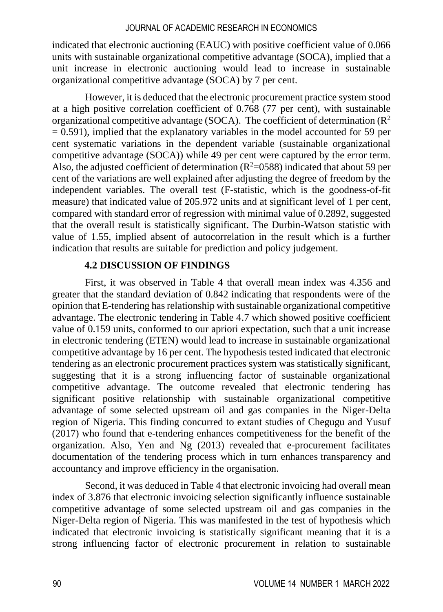indicated that electronic auctioning (EAUC) with positive coefficient value of 0.066 units with sustainable organizational competitive advantage (SOCA), implied that a unit increase in electronic auctioning would lead to increase in sustainable organizational competitive advantage (SOCA) by 7 per cent.

However, it is deduced that the electronic procurement practice system stood at a high positive correlation coefficient of 0.768 (77 per cent), with sustainable organizational competitive advantage (SOCA). The coefficient of determination  $(R^2)$  $= 0.591$ ), implied that the explanatory variables in the model accounted for 59 per cent systematic variations in the dependent variable (sustainable organizational competitive advantage (SOCA)) while 49 per cent were captured by the error term. Also, the adjusted coefficient of determination ( $R^2$ =0588) indicated that about 59 per cent of the variations are well explained after adjusting the degree of freedom by the independent variables. The overall test (F-statistic, which is the goodness-of-fit measure) that indicated value of 205.972 units and at significant level of 1 per cent, compared with standard error of regression with minimal value of 0.2892, suggested that the overall result is statistically significant. The Durbin-Watson statistic with value of 1.55, implied absent of autocorrelation in the result which is a further indication that results are suitable for prediction and policy judgement.

#### **4.2 DISCUSSION OF FINDINGS**

First, it was observed in Table 4 that overall mean index was 4.356 and greater that the standard deviation of 0.842 indicating that respondents were of the opinion that E-tendering has relationship with sustainable organizational competitive advantage. The electronic tendering in Table 4.7 which showed positive coefficient value of 0.159 units, conformed to our apriori expectation, such that a unit increase in electronic tendering (ETEN) would lead to increase in sustainable organizational competitive advantage by 16 per cent. The hypothesis tested indicated that electronic tendering as an electronic procurement practices system was statistically significant, suggesting that it is a strong influencing factor of sustainable organizational competitive advantage. The outcome revealed that electronic tendering has significant positive relationship with sustainable organizational competitive advantage of some selected upstream oil and gas companies in the Niger-Delta region of Nigeria. This finding concurred to extant studies of Chegugu and Yusuf (2017) who found that e-tendering enhances competitiveness for the benefit of the organization. Also, Yen and Ng (2013) revealed that e-procurement facilitates documentation of the tendering process which in turn enhances transparency and accountancy and improve efficiency in the organisation.

Second, it was deduced in Table 4 that electronic invoicing had overall mean index of 3.876 that electronic invoicing selection significantly influence sustainable competitive advantage of some selected upstream oil and gas companies in the Niger-Delta region of Nigeria. This was manifested in the test of hypothesis which indicated that electronic invoicing is statistically significant meaning that it is a strong influencing factor of electronic procurement in relation to sustainable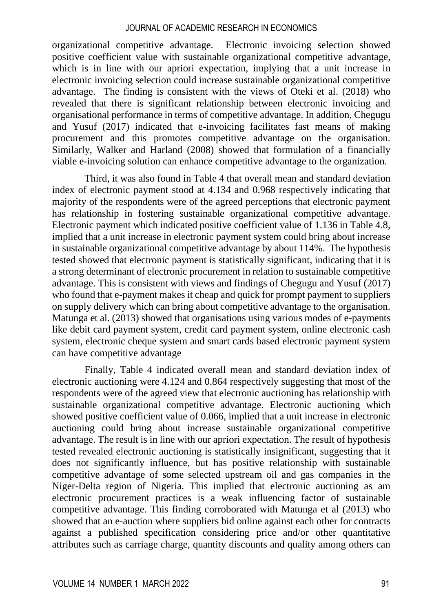organizational competitive advantage. Electronic invoicing selection showed positive coefficient value with sustainable organizational competitive advantage, which is in line with our apriori expectation, implying that a unit increase in electronic invoicing selection could increase sustainable organizational competitive advantage. The finding is consistent with the views of Oteki et al. (2018) who revealed that there is significant relationship between electronic invoicing and organisational performance in terms of competitive advantage. In addition, Chegugu and Yusuf (2017) indicated that e-invoicing facilitates fast means of making procurement and this promotes competitive advantage on the organisation. Similarly, Walker and Harland (2008) showed that formulation of a financially viable e-invoicing solution can enhance competitive advantage to the organization.

Third, it was also found in Table 4 that overall mean and standard deviation index of electronic payment stood at 4.134 and 0.968 respectively indicating that majority of the respondents were of the agreed perceptions that electronic payment has relationship in fostering sustainable organizational competitive advantage. Electronic payment which indicated positive coefficient value of 1.136 in Table 4.8, implied that a unit increase in electronic payment system could bring about increase in sustainable organizational competitive advantage by about 114%. The hypothesis tested showed that electronic payment is statistically significant, indicating that it is a strong determinant of electronic procurement in relation to sustainable competitive advantage. This is consistent with views and findings of Chegugu and Yusuf (2017) who found that e-payment makes it cheap and quick for prompt payment to suppliers on supply delivery which can bring about competitive advantage to the organisation. Matunga et al. (2013) showed that organisations using various modes of e-payments like debit card payment system, credit card payment system, online electronic cash system, electronic cheque system and smart cards based electronic payment system can have competitive advantage

Finally, Table 4 indicated overall mean and standard deviation index of electronic auctioning were 4.124 and 0.864 respectively suggesting that most of the respondents were of the agreed view that electronic auctioning has relationship with sustainable organizational competitive advantage. Electronic auctioning which showed positive coefficient value of 0.066, implied that a unit increase in electronic auctioning could bring about increase sustainable organizational competitive advantage. The result is in line with our apriori expectation. The result of hypothesis tested revealed electronic auctioning is statistically insignificant, suggesting that it does not significantly influence, but has positive relationship with sustainable competitive advantage of some selected upstream oil and gas companies in the Niger-Delta region of Nigeria. This implied that electronic auctioning as am electronic procurement practices is a weak influencing factor of sustainable competitive advantage. This finding corroborated with Matunga et al (2013) who showed that an e-auction where suppliers bid online against each other for contracts against a published specification considering price and/or other quantitative attributes such as carriage charge, quantity discounts and quality among others can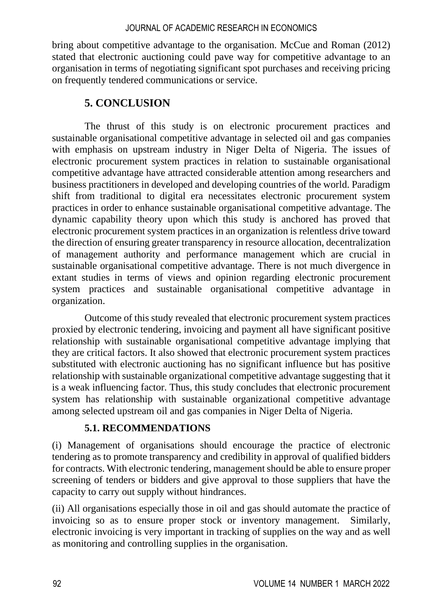bring about competitive advantage to the organisation. McCue and Roman (2012) stated that electronic auctioning could pave way for competitive advantage to an organisation in terms of negotiating significant spot purchases and receiving pricing on frequently tendered communications or service.

## **5. CONCLUSION**

The thrust of this study is on electronic procurement practices and sustainable organisational competitive advantage in selected oil and gas companies with emphasis on upstream industry in Niger Delta of Nigeria. The issues of electronic procurement system practices in relation to sustainable organisational competitive advantage have attracted considerable attention among researchers and business practitioners in developed and developing countries of the world. Paradigm shift from traditional to digital era necessitates electronic procurement system practices in order to enhance sustainable organisational competitive advantage. The dynamic capability theory upon which this study is anchored has proved that electronic procurement system practices in an organization is relentless drive toward the direction of ensuring greater transparency in resource allocation, decentralization of management authority and performance management which are crucial in sustainable organisational competitive advantage. There is not much divergence in extant studies in terms of views and opinion regarding electronic procurement system practices and sustainable organisational competitive advantage in organization.

Outcome of this study revealed that electronic procurement system practices proxied by electronic tendering, invoicing and payment all have significant positive relationship with sustainable organisational competitive advantage implying that they are critical factors. It also showed that electronic procurement system practices substituted with electronic auctioning has no significant influence but has positive relationship with sustainable organizational competitive advantage suggesting that it is a weak influencing factor. Thus, this study concludes that electronic procurement system has relationship with sustainable organizational competitive advantage among selected upstream oil and gas companies in Niger Delta of Nigeria.

## **5.1. RECOMMENDATIONS**

(i) Management of organisations should encourage the practice of electronic tendering as to promote transparency and credibility in approval of qualified bidders for contracts. With electronic tendering, management should be able to ensure proper screening of tenders or bidders and give approval to those suppliers that have the capacity to carry out supply without hindrances.

(ii) All organisations especially those in oil and gas should automate the practice of invoicing so as to ensure proper stock or inventory management. Similarly, electronic invoicing is very important in tracking of supplies on the way and as well as monitoring and controlling supplies in the organisation.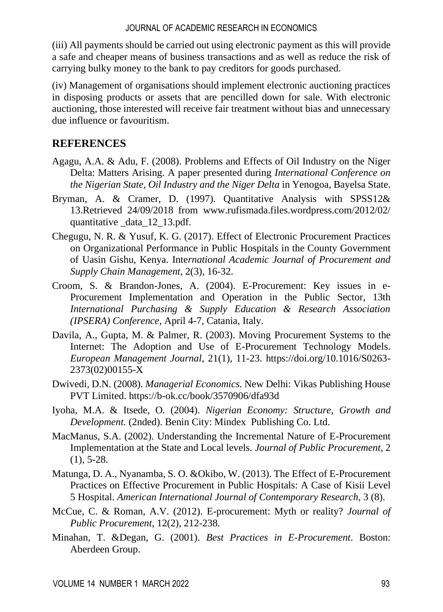(iii) All payments should be carried out using electronic payment as this will provide a safe and cheaper means of business transactions and as well as reduce the risk of carrying bulky money to the bank to pay creditors for goods purchased.

(iv) Management of organisations should implement electronic auctioning practices in disposing products or assets that are pencilled down for sale. With electronic auctioning, those interested will receive fair treatment without bias and unnecessary due influence or favouritism.

## **REFERENCES**

- Agagu, A.A. & Adu, F. (2008). Problems and Effects of Oil Industry on the Niger Delta: Matters Arising. A paper presented during *International Conference on the Nigerian State, Oil Industry and the Niger Delta* in Yenogoa, Bayelsa State.
- Bryman, A. & Cramer, D. (1997). Quantitative Analysis with SPSS12& 13.Retrieved 24/09/2018 from [www.rufismada.files.wordpress.com/2012/02/](http://www.rufismada.files.wordpress.com/2012/02/%20quantitative%20_data_12_13.pdf)  [quantitative \\_data\\_12\\_13.pdf.](http://www.rufismada.files.wordpress.com/2012/02/%20quantitative%20_data_12_13.pdf)
- Chegugu, N. R. & Yusuf, K. G. (2017). Effect of Electronic Procurement Practices on Organizational Performance in Public Hospitals in the County Government of Uasin Gishu, Kenya. Inte*rnational Academic Journal of Procurement and Supply Chain Management*, 2(3), 16-32.
- Croom, S. & Brandon-Jones, A. (2004). E-Procurement: Key issues in e-Procurement Implementation and Operation in the Public Sector, 13th *International Purchasing & Supply Education & Research Association (IPSERA) Conference*, April 4-7, Catania, Italy.
- Davila, A., Gupta, M. & Palmer, R. (2003). Moving Procurement Systems to the Internet: The Adoption and Use of E-Procurement Technology Models. *European Management Journal*, 21(1), 11-23. [https://doi.org/10.1016/S0263-](https://doi.org/10.1016/S0263-2373(02)00155-X) [2373\(02\)00155-X](https://doi.org/10.1016/S0263-2373(02)00155-X)
- Dwivedi, D.N. (2008). *Managerial Economics.* New Delhi: Vikas Publishing House PVT Limited. https://b-ok.cc/book/3570906/dfa93d
- Iyoha, M.A. & Itsede, O. (2004). *Nigerian Economy: Structure, Growth and Development.* (2nded). Benin City: Mindex Publishing Co. Ltd.
- MacManus, S.A. (2002). Understanding the Incremental Nature of E-Procurement Implementation at the State and Local levels. *Journal of Public Procurement*, 2 (1), 5-28.
- Matunga, D. A., Nyanamba, S. O. &Okibo, W. (2013). The Effect of E-Procurement Practices on Effective Procurement in Public Hospitals: A Case of Kisii Level 5 Hospital. *American International Journal of Contemporary Research*, 3 (8).
- McCue, C. & Roman, A.V. (2012). E-procurement: Myth or reality? *Journal of Public Procurement*, 12(2), 212-238.
- Minahan, T. &Degan, G. (2001). *Best Practices in E-Procurement*. Boston: Aberdeen Group.